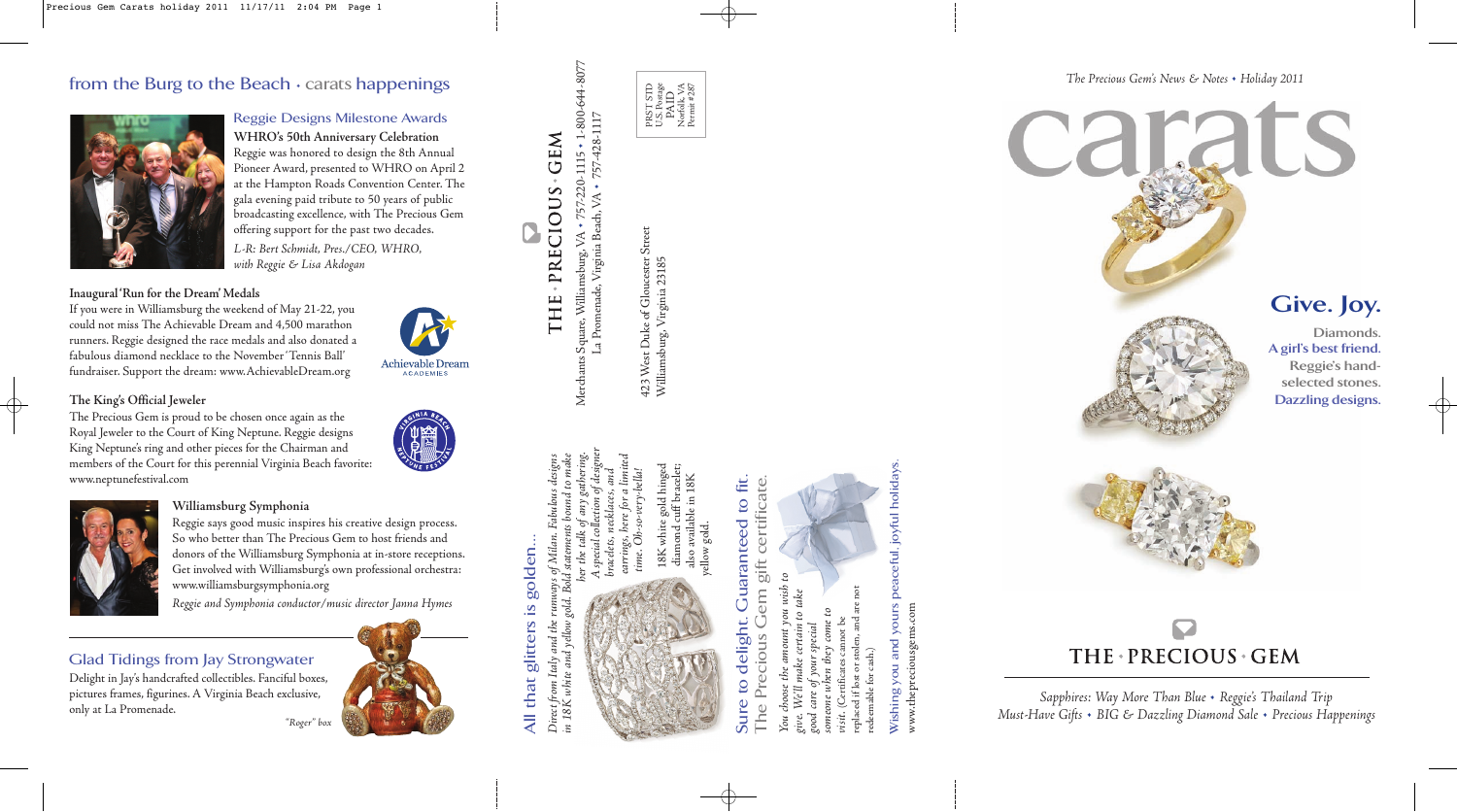## from the Burg to the Beach • carats happenings



*Sapphires: Way More Than Blue* • *Reggie's Thailand Trip Must-Have Gifts* • *BIG & Dazzling Diamond Sale* • *Precious Happenings* 

*The Precious Gem's News & Notes* • *Holiday 2011*



Reggie Designs Milestone Awards **WHRO's 50th Anniversary Celebration**  Reggie was honored to design the 8th Annual Pioneer Award, presented to WHRO on April 2 at the Hampton Roads Convention Center. The gala evening paid tribute to 50 years of public broadcasting excellence, with The Precious Gem offering support for the past two decades. L-R: Bert Schmidt, Pres./CEO, WHRO,

with Reggie & Lisa Akdogan

#### **Inaugural 'Run for the Dream' Medals**

If you were in Williamsburg the weekend of May 21-22, you could not miss The Achievable Dream and 4,500 marathon runners. Reggie designed the race medals and also donated a fabulous diamond necklace to the November 'Tennis Ball' fundraiser. Support the dream: www.AchievableDream.org

#### **The King's Official Jeweler**

423 West Duke of Gloucester Street Street 23185 Williamsburg, Virginia 23185 of Glou Duke 423 West Duke<br>Williamsburg, '

The Precious Gem is proud to be chosen once again as the Royal Jeweler to the Court of King Neptune. Reggie designs King Neptune's ring and other pieces for the Chairman and members of the Court for this perennial Virginia Beach favorite: www.neptunefestival.com



**Achievable Dream ACADEMIES** 

> her the talk of any gathering. in 18K white and yellow gold. Bold statements bound to make Direct from Italy and the runways of Milan. Fabulous designs of Milan oold. Direct from Italy and the<br>in 18K white and yellow<sub>)</sub>

# Sure to delight. Guaranteed to fit. The Precious Gem gift certificate. **Cuaranteed to fit.** rtificate to deligh

### **Williamsburg Symphonia**

Reggie says good music inspires his creative design process. So who better than The Precious Gem to host friends and donors of the Williamsburg Symphonia at in-store receptions. Get involved with Williamsburg's own professional orchestra: www.williamsburgsymphonia.org

Reggie and Symphonia conductor/music director Janna Hymes

### Glad Tidings from Jay Strongwater

Delight in Jay's handcrafted collectibles. Fanciful boxes, pictures frames, figurines. A Virginia Beach exclusive, only at La Promenade.











A special collection of designer bracelets, necklaces, and earrings, here for a limited time. Oh-so-very-bella!

Merchants



18K white gold hinged diamond cuff bracelet; also available in 18K yellow gold.

You choose the amount you wish to give. We'll make certain to take good care of your special someone when they come to visit. (Certificates cannot be replaced if lost or stolen, and are not redeemable for cash.)



"Roger" box